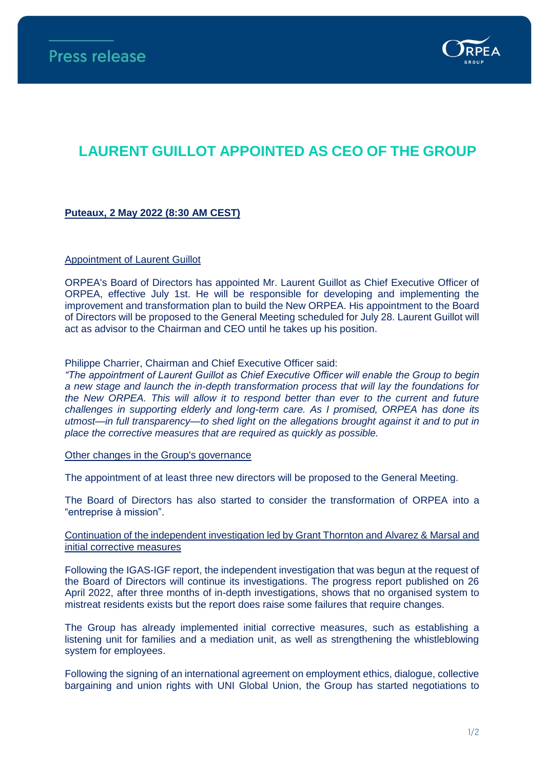

# **LAURENT GUILLOT APPOINTED AS CEO OF THE GROUP**

## **Puteaux, 2 May 2022 (8:30 AM CEST)**

## Appointment of Laurent Guillot

ORPEA's Board of Directors has appointed Mr. Laurent Guillot as Chief Executive Officer of ORPEA, effective July 1st. He will be responsible for developing and implementing the improvement and transformation plan to build the New ORPEA. His appointment to the Board of Directors will be proposed to the General Meeting scheduled for July 28. Laurent Guillot will act as advisor to the Chairman and CEO until he takes up his position.

Philippe Charrier, Chairman and Chief Executive Officer said:

*"The appointment of Laurent Guillot as Chief Executive Officer will enable the Group to begin a new stage and launch the in-depth transformation process that will lay the foundations for the New ORPEA. This will allow it to respond better than ever to the current and future challenges in supporting elderly and long-term care. As I promised, ORPEA has done its utmost—in full transparency—to shed light on the allegations brought against it and to put in place the corrective measures that are required as quickly as possible.*

Other changes in the Group's governance

The appointment of at least three new directors will be proposed to the General Meeting.

The Board of Directors has also started to consider the transformation of ORPEA into a "entreprise à mission".

## Continuation of the independent investigation led by Grant Thornton and Alvarez & Marsal and initial corrective measures

Following the IGAS-IGF report, the independent investigation that was begun at the request of the Board of Directors will continue its investigations. The progress report published on 26 April 2022, after three months of in-depth investigations, shows that no organised system to mistreat residents exists but the report does raise some failures that require changes.

The Group has already implemented initial corrective measures, such as establishing a listening unit for families and a mediation unit, as well as strengthening the whistleblowing system for employees.

Following the signing of an international agreement on employment ethics, dialogue, collective bargaining and union rights with UNI Global Union, the Group has started negotiations to